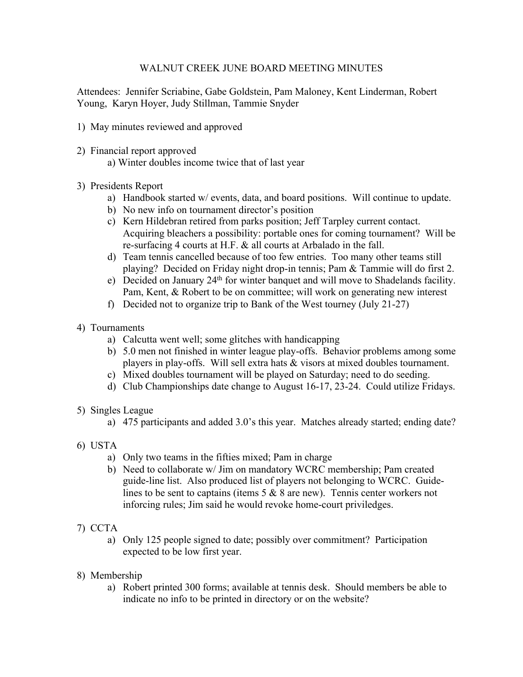## WALNUT CREEK JUNE BOARD MEETING MINUTES

Attendees: Jennifer Scriabine, Gabe Goldstein, Pam Maloney, Kent Linderman, Robert Young, Karyn Hoyer, Judy Stillman, Tammie Snyder

- 1) May minutes reviewed and approved
- 2) Financial report approved
	- a) Winter doubles income twice that of last year

## 3) Presidents Report

- a) Handbook started w/ events, data, and board positions. Will continue to update.
- b) No new info on tournament director's position
- c) Kern Hildebran retired from parks position; Jeff Tarpley current contact. Acquiring bleachers a possibility: portable ones for coming tournament? Will be re-surfacing 4 courts at H.F. & all courts at Arbalado in the fall.
- d) Team tennis cancelled because of too few entries. Too many other teams still playing? Decided on Friday night drop-in tennis; Pam & Tammie will do first 2.
- e) Decided on January 24th for winter banquet and will move to Shadelands facility. Pam, Kent, & Robert to be on committee; will work on generating new interest
- f) Decided not to organize trip to Bank of the West tourney (July 21-27)
- 4) Tournaments
	- a) Calcutta went well; some glitches with handicapping
	- b) 5.0 men not finished in winter league play-offs. Behavior problems among some players in play-offs. Will sell extra hats & visors at mixed doubles tournament.
	- c) Mixed doubles tournament will be played on Saturday; need to do seeding.
	- d) Club Championships date change to August 16-17, 23-24. Could utilize Fridays.
- 5) Singles League
	- a) 475 participants and added 3.0's this year. Matches already started; ending date?
- 6) USTA
	- a) Only two teams in the fifties mixed; Pam in charge
	- b) Need to collaborate w/ Jim on mandatory WCRC membership; Pam created guide-line list. Also produced list of players not belonging to WCRC. Guidelines to be sent to captains (items 5 & 8 are new). Tennis center workers not inforcing rules; Jim said he would revoke home-court priviledges.
- 7) CCTA
	- a) Only 125 people signed to date; possibly over commitment? Participation expected to be low first year.
- 8) Membership
	- a) Robert printed 300 forms; available at tennis desk. Should members be able to indicate no info to be printed in directory or on the website?